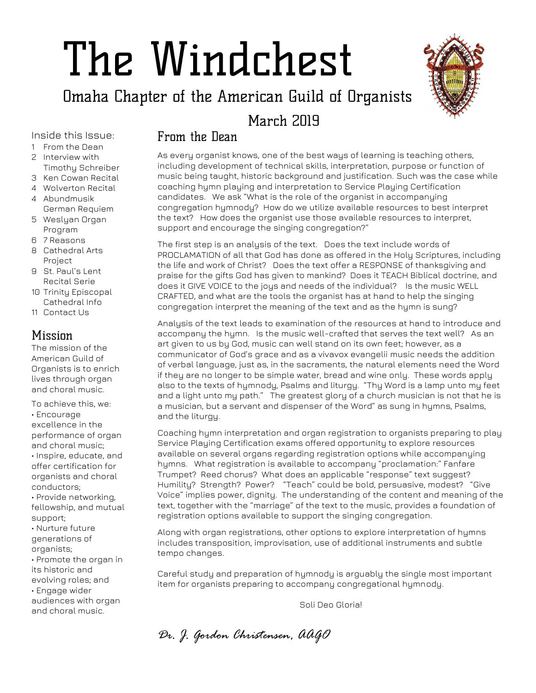# The Windchest

Omaha Chapter of the American Guild of Organists



## March 2019

Inside this Issue:

- 1 From the Dean
- 2 Interview with Timothy Schreiber
- 3 Ken Cowan Recital
- 4 Wolverton Recital
- 4 Abundmusik German Requiem
- 5 Weslyan Organ Program
- 6 7 Reasons
- 8 Cathedral Arts Project
- 9 St. Paul's Lent Recital Serie
- 10 Trinity Episcopal Cathedral Info
- 11 Contact Us

#### Mission

The mission of the American Guild of Organists is to enrich lives through organ and choral music.

To achieve this, we: • Encourage excellence in the performance of organ and choral music; • Inspire, educate, and offer certification for organists and choral conductors; • Provide networking, fellowship, and mutual support; • Nurture future generations of organists; • Promote the organ in its historic and evolving roles; and • Engage wider audiences with organ and choral music.

#### From the Dean

As every organist knows, one of the best ways of learning is teaching others, including development of technical skills, interpretation, purpose or function of music being taught, historic background and justification. Such was the case while coaching hymn playing and interpretation to Service Playing Certification candidates. We ask "What is the role of the organist in accompanying congregation hymnody? How do we utilize available resources to best interpret the text? How does the organist use those available resources to interpret, support and encourage the singing congregation?"

The first step is an analysis of the text. Does the text include words of PROCLAMATION of all that God has done as offered in the Holy Scriptures, including the life and work of Christ? Does the text offer a RESPONSE of thanksgiving and praise for the gifts God has given to mankind? Does it TEACH Biblical doctrine, and does it GIVE VOICE to the joys and needs of the individual? Is the music WELL CRAFTED, and what are the tools the organist has at hand to help the singing congregation interpret the meaning of the text and as the hymn is sung?

Analysis of the text leads to examination of the resources at hand to introduce and accompany the hymn. Is the music well-crafted that serves the text well? As an art given to us by God, music can well stand on its own feet; however, as a communicator of God's grace and as a vivavox evangelii music needs the addition of verbal language, just as, in the sacraments, the natural elements need the Word if they are no longer to be simple water, bread and wine only. These words apply also to the texts of hymnody, Psalms and liturgy. "Thy Word is a lamp unto my feet and a light unto my path." The greatest glory of a church musician is not that he is a musician, but a servant and dispenser of the Word" as sung in hymns, Psalms, and the liturgy.

Coaching hymn interpretation and organ registration to organists preparing to play Service Playing Certification exams offered opportunity to explore resources available on several organs regarding registration options while accompanying hymns. What registration is available to accompany "proclamation:" Fanfare Trumpet? Reed chorus? What does an applicable "response" text suggest? Humility? Strength? Power? "Teach" could be bold, persuasive, modest? "Give Voice" implies power, dignity. The understanding of the content and meaning of the text, together with the "marriage" of the text to the music, provides a foundation of registration options available to support the singing congregation.

Along with organ registrations, other options to explore interpretation of hymns includes transposition, improvisation, use of additional instruments and subtle tempo changes.

Careful study and preparation of hymnody is arguably the single most important item for organists preparing to accompany congregational hymnody.

Soli Deo Gloria!

*Dr. J. Gordon Christensen, AAGO*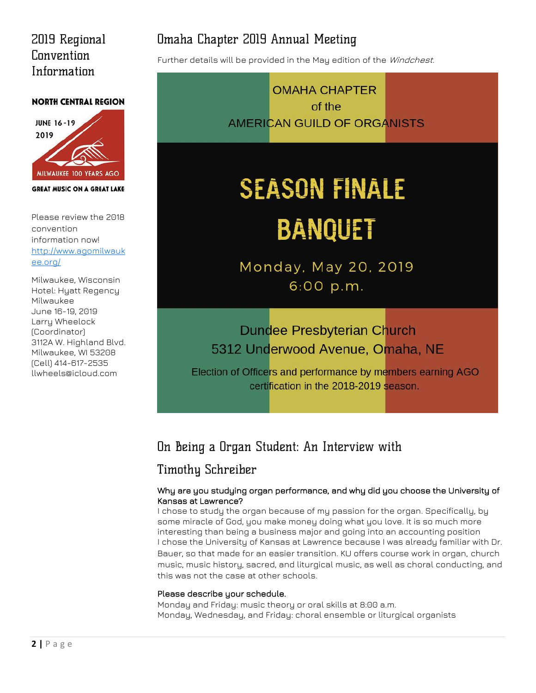## 2019 Regional Convention Information

#### **NORTH CENTRAL REGION**



**GREAT MUSIC ON A GREAT LAKE** 

Please review the 2018 convention information now! [http://www.agomilwauk](http://www.agomilwaukee.org/) [ee.org/](http://www.agomilwaukee.org/)

Milwaukee, Wisconsin Hotel: Hyatt Regency Milwaukee June 16-19, 2019 Larry Wheelock (Coordinator) 3112A W. Highland Blvd. Milwaukee, WI 53208 (Cell) 414-617-2535 llwheels@icloud.com

## Omaha Chapter 2019 Annual Meeting

Further details will be provided in the May edition of the Windchest.

**OMAHA CHAPTER** of the AMERICAN GUILD OF ORGANISTS

## **SEASON FINALE BANQUET**

Monday, May 20, 2019 6:00 p.m.

## **Dundee Presbyterian Church** 5312 Underwood Avenue, Omaha, NE

Election of Officers and performance by members earning AGO certification in the 2018-2019 season.

## On Being a Organ Student: An Interview with

## **Timothy Schreiber**

#### Why are you studying organ performance, and why did you choose the University of Kansas at Lawrence?

I chose to study the organ because of my passion for the organ. Specifically, by some miracle of God, you make money doing what you love. It is so much more interesting than being a business major and going into an accounting position I chose the University of Kansas at Lawrence because I was already familiar with Dr. Bauer, so that made for an easier transition. KU offers course work in organ, church music, music history, sacred, and liturgical music, as well as choral conducting, and this was not the case at other schools.

#### Please describe your schedule.

Monday and Friday: music theory or oral skills at 8:00 a.m. Monday, Wednesday, and Friday: choral ensemble or liturgical organists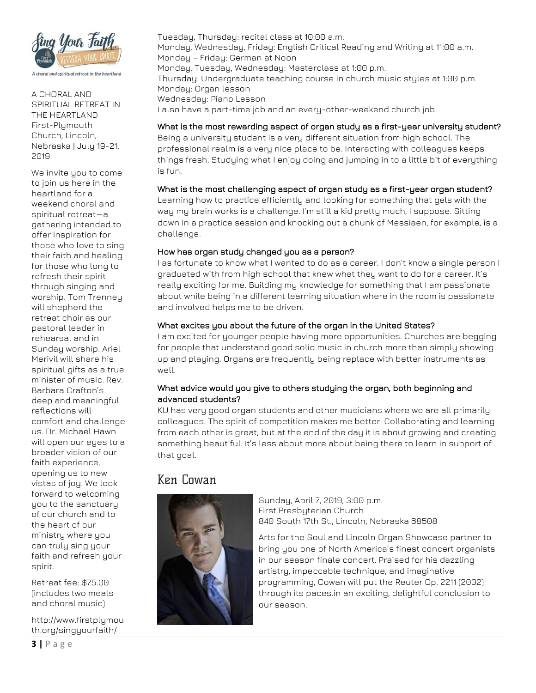

A CHORAL AND SPIRITUAL RETREAT IN THE HEARTLAND First-Plymouth Church, Lincoln, Nebraska | July 19-21, 2019

We invite you to come to join us here in the heartland for a weekend choral and spiritual retreat—a gathering intended to offer inspiration for those who love to sing their faith and healing for those who long to refresh their spirit through singing and worship. Tom Trenney will shepherd the retreat choir as our pastoral leader in rehearsal and in Sunday worship. Ariel Merivil will share his spiritual gifts as a true minister of music. Rev. Barbara Crafton's deep and meaningful reflections will comfort and challenge us. Dr. Michael Hawn will open our eyes to a broader vision of our faith experience, opening us to new vistas of joy. We look forward to welcoming you to the sanctuary of our church and to the heart of our ministry where you can truly sing your faith and refresh your spirit.

Retreat fee: \$75.00 (includes two meals and choral music)

http://www.firstplymou th.org/singyourfaith/

Tuesday, Thursday: recital class at 10:00 a.m. Monday, Wednesday, Friday: English Critical Reading and Writing at 11:00 a.m. Monday – Friday: German at Noon Monday, Tuesday, Wednesday: Masterclass at 1:00 p.m. Thursday: Undergraduate teaching course in church music styles at 1:00 p.m. Monday: Organ lesson Wednesday: Piano Lesson I also have a part-time job and an every-other-weekend church job.

#### What is the most rewarding aspect of organ study as a first-year university student?

Being a university student is a very different situation from high school. The professional realm is a very nice place to be. Interacting with colleagues keeps things fresh. Studying what I enjoy doing and jumping in to a little bit of everything is fun.

#### What is the most challenging aspect of organ study as a first-year organ student?

Learning how to practice efficiently and looking for something that gels with the way my brain works is a challenge. I'm still a kid pretty much, I suppose. Sitting down in a practice session and knocking out a chunk of Messiaen, for example, is a challenge.

#### How has organ study changed you as a person?

I as fortunate to know what I wanted to do as a career. I don't know a single person I graduated with from high school that knew what they want to do for a career. It's really exciting for me. Building my knowledge for something that I am passionate about while being in a different learning situation where in the room is passionate and involved helps me to be driven.

#### What excites you about the future of the organ in the United States?

I am excited for younger people having more opportunities. Churches are begging for people that understand good solid music in church more than simply showing up and playing. Organs are frequently being replace with better instruments as well.

#### What advice would you give to others studying the organ, both beginning and advanced students?

KU has very good organ students and other musicians where we are all primarily colleagues. The spirit of competition makes me better. Collaborating and learning from each other is great, but at the end of the day it is about growing and creating something beautiful. It's less about more about being there to learn in support of that goal.

#### Ken Cowan



Sunday, April 7, 2019, 3:00 p.m. First Presbyterian Church 840 South 17th St., Lincoln, Nebraska 68508

Arts for the Soul and Lincoln Organ Showcase partner to bring you one of North America's finest concert organists in our season finale concert. Praised for his dazzling artistry, impeccable technique, and imaginative programming, Cowan will put the Reuter Op. 2211 (2002) through its paces.in an exciting, delightful conclusion to our season.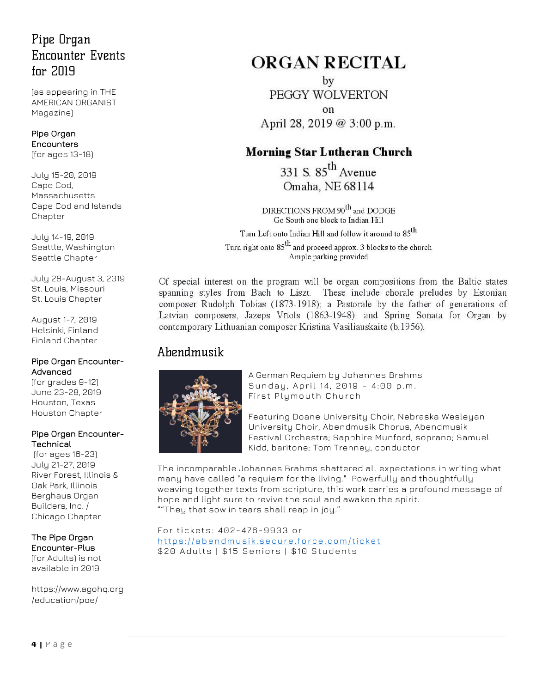## Pipe Organ **Encounter Events**  $for 2019$

(as appearing in THE AMERICAN ORGANIST Magazine)

#### [Pipe Organ](https://www.agohq.org/education/poe/poe/)  [Encounters](https://www.agohq.org/education/poe/poe/)

(for ages 13-18)

July 15-20, 2019 Cape Cod, Massachusetts [Cape Cod and Islands](http://www.capeandislandsago.org/)  [Chapter](http://www.capeandislandsago.org/)

July 14-19, 2019 Seattle, Washington [Seattle Chapter](http://www.agoseattle.com/)

July 28-August 3, 2019 St. Louis, Missouri [St. Louis Chapter](http://www.agostlouis.org/)

August 1-7, 2019 Helsinki, Finland [Finland Chapter](https://www.agohq.org/chapters/finland/)

#### [Pipe Organ Encounter-](https://www.agohq.org/education/poe/poe-advanced/)[Advanced](https://www.agohq.org/education/poe/poe-advanced/)

(for grades 9-12) June 23-28, 2019 Houston, Texas [Houston Chapter](http://www.ago-houston.org/)

#### [Pipe Organ Encounter-](https://www.agohq.org/education/poe/poe-technical/)**[Technical](https://www.agohq.org/education/poe/poe-technical/)**

(for ages 16-23) July 21-27, 2019 River Forest, Illinois & Oak Park, Illinois [Berghaus Organ](http://www.berghausorgan.com/)  [Builders, Inc.](http://www.berghausorgan.com/) / [Chicago Chapter](http://www.chicagoago.com/)

#### The [Pipe Organ](https://www.agohq.org/education/poe/poe-advanced/)  [Encounter-Plus](https://www.agohq.org/education/poe/poe-advanced/) (for Adults) is not

available in 2019

[https://www.agohq.org](https://www.agohq.org/education/poe/) [/education/poe/](https://www.agohq.org/education/poe/)

## **ORGAN RECITAL**

by PEGGY WOLVERTON  $\alpha$ April 28, 2019 @ 3:00 p.m.

### **Morning Star Lutheran Church**

331 S.  $85^{th}$  Avenue Omaha, NE 68114

 $DIRECTIONS$  FROM  $90<sup>th</sup>$  and DODGE Go South one block to Indian Hill

Turn Left onto Indian Hill and follow it around to 85<sup>th</sup> Turn right onto  $85^{th}$  and proceed approx. 3 blocks to the church Ample parking provided

Of special interest on the program will be organ compositions from the Baltic states spanning styles from Bach to Liszt. These include chorale preludes by Estonian composer Rudolph Tobias (1873-1918); a Pastorale by the father of generations of Latvian composers, Jazeps Vītols (1863-1948); and Spring Sonata for Organ by contemporary Lithuanian composer Kristina Vasiliauskaite (b.1956).

## Ahendmusik



A German Requiem by Johannes Brahms Sunday, April 14, 2019 - 4:00 p.m. First Plymouth Church

Featuring Doane University Choir, Nebraska Wesleyan University Choir, Abendmusik Chorus, Abendmusik Festival Orchestra; Sapphire Munford, soprano; Samuel Kidd, baritone; Tom Trenney, conductor

The incomparable Johannes Brahms shattered all expectations in writing what many have called "a requiem for the living." Powerfully and thoughtfully weaving together texts from scripture, this work carries a profound message of hope and light sure to revive the soul and awaken the spirit. ""They that sow in tears shall reap in joy."

#### For tickets : 40 2-4 76-993 3 or

https://abendmusik.secure.force.com/ticket \$20 Adults | \$15 Seniors | \$10 Students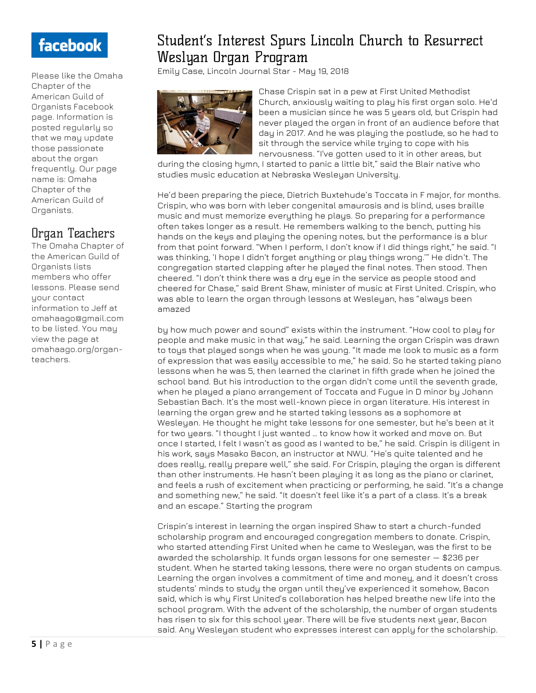## facebook

Please like the Omaha Chapter of the American Guild of Organists Facebook page. Information is posted regularly so that we may update those passionate about the organ frequently. Our page name is: Omaha Chapter of the American Guild of Organists.

## Organ Teachers

The Omaha Chapter of the American Guild of Organists lists members who offer lessons. Please send your contact information to Jeff at omahaago@gmail.com to be listed. You may view the page at omahaago.org/organteachers.

## Student's Interest Spurs Lincoln Church to Resurrect Weslyan Organ Program

[Emily Case, Lincoln Journal Star](https://journalstar.com/users/profile/Emily%20Case) - May 19, 2018



Chase Crispin sat in a pew at First United Methodist Church, anxiously waiting to play his first organ solo. He'd been a musician since he was 5 years old, but Crispin had never played the organ in front of an audience before that day in 2017. And he was playing the postlude, so he had to sit through the service while trying to cope with his nervousness. "I've gotten used to it in other areas, but

during the closing hymn, I started to panic a little bit," said the Blair native who studies music education at Nebraska Wesleyan University.

He'd been preparing the piece, Dietrich Buxtehude's Toccata in F major, for months. Crispin, who was born with leber congenital amaurosis and is blind, uses braille music and must memorize everything he plays. So preparing for a performance often takes longer as a result. He remembers walking to the bench, putting his hands on the keys and playing the opening notes, but the performance is a blur from that point forward. "When I perform, I don't know if I did things right," he said. "I was thinking, 'I hope I didn't forget anything or play things wrong.'" He didn't. The congregation started clapping after he played the final notes. Then stood. Then cheered. "I don't think there was a dry eye in the service as people stood and cheered for Chase," said Brent Shaw, minister of music at First United. Crispin, who was able to learn the organ through lessons at Wesleyan, has "always been amazed

by how much power and sound" exists within the instrument. "How cool to play for people and make music in that way," he said. Learning the organ Crispin was drawn to toys that played songs when he was young. "It made me look to music as a form of expression that was easily accessible to me," he said. So he started taking piano lessons when he was 5, then learned the clarinet in fifth grade when he joined the school band. But his introduction to the organ didn't come until the seventh grade, when he played a piano arrangement of Toccata and Fugue in D minor by Johann Sebastian Bach. It's the most well-known piece in organ literature. His interest in learning the organ grew and he started taking lessons as a sophomore at Wesleyan. He thought he might take lessons for one semester, but he's been at it for two years. "I thought I just wanted … to know how it worked and move on. But once I started, I felt I wasn't as good as I wanted to be," he said. Crispin is diligent in his work, says Masako Bacon, an instructor at NWU. "He's quite talented and he does really, really prepare well," she said. For Crispin, playing the organ is different than other instruments. He hasn't been playing it as long as the piano or clarinet, and feels a rush of excitement when practicing or performing, he said. "It's a change and something new," he said. "It doesn't feel like it's a part of a class. It's a break and an escape." Starting the program

Crispin's interest in learning the organ inspired Shaw to start a church-funded scholarship program and encouraged congregation members to donate. Crispin, who started attending First United when he came to Wesleyan, was the first to be awarded the scholarship. It funds organ lessons for one semester — \$236 per student. When he started taking lessons, there were no organ students on campus. Learning the organ involves a commitment of time and money, and it doesn't cross students' minds to study the organ until they've experienced it somehow, Bacon said, which is why First United's collaboration has helped breathe new life into the school program. With the advent of the scholarship, the number of organ students has risen to six for this school year. There will be five students next year, Bacon said. Any Wesleyan student who expresses interest can apply for the scholarship.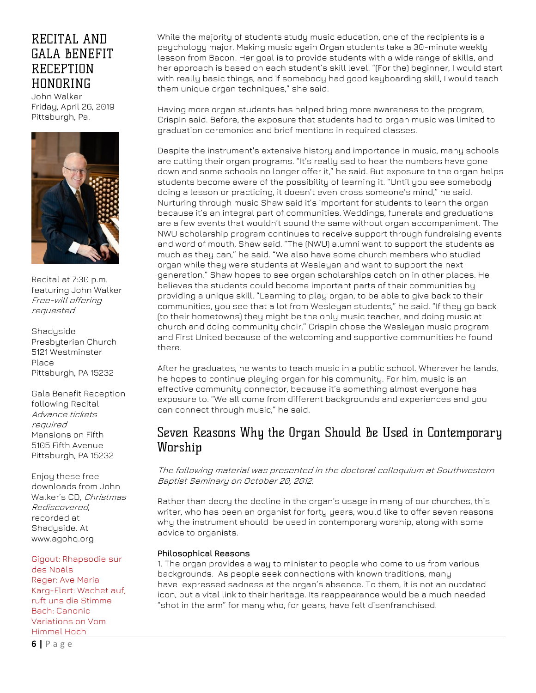## RECITAL AND **GALA BENEFIT RECEPTION HONORING**

John Walker Friday, April 26, 2019 Pittsburgh, Pa.



Recital at 7:30 p.m. featuring John Walker Free-will offering requested

Shadyside Presbyterian Church 5121 Westminster Place Pittsburgh, PA 15232

Gala Benefit Reception following Recital Advance tickets required Mansions on Fifth 5105 Fifth Avenue Pittsburgh, PA 15232

Enjoy these free downloads from John Walker's CD, Christmas Rediscovered, recorded at Shadyside. At [www.agohq.org](http://www.agohq.org/)

[Gigout: Rhapsodie sur](http://cts.vresp.com/c/?AmericanGuildofOrgan/8aeb973350/TEST/5fb0261628)  [des Noëls](http://cts.vresp.com/c/?AmericanGuildofOrgan/8aeb973350/TEST/5fb0261628) [Reger: Ave Maria](http://cts.vresp.com/c/?AmericanGuildofOrgan/8aeb973350/TEST/a9f5489b92)

[Karg-Elert: Wachet auf,](http://cts.vresp.com/c/?AmericanGuildofOrgan/8aeb973350/TEST/c92962c78b)  [ruft uns die Stimme](http://cts.vresp.com/c/?AmericanGuildofOrgan/8aeb973350/TEST/c92962c78b) [Bach: Canonic](http://cts.vresp.com/c/?AmericanGuildofOrgan/8aeb973350/TEST/bfdfb310ca)  [Variations on Vom](http://cts.vresp.com/c/?AmericanGuildofOrgan/8aeb973350/TEST/bfdfb310ca)  [Himmel Hoch](http://cts.vresp.com/c/?AmericanGuildofOrgan/8aeb973350/TEST/bfdfb310ca)

**6 |** P a g e

While the majority of students study music education, one of the recipients is a psychology major. Making music again Organ students take a 30-minute weekly lesson from Bacon. Her goal is to provide students with a wide range of skills, and her approach is based on each student's skill level. "(For the) beginner, I would start with really basic things, and if somebody had good keyboarding skill, I would teach them unique organ techniques," she said.

Having more organ students has helped bring more awareness to the program, Crispin said. Before, the exposure that students had to organ music was limited to graduation ceremonies and brief mentions in required classes.

Despite the instrument's extensive history and importance in music, many schools are cutting their organ programs. "It's really sad to hear the numbers have gone down and some schools no longer offer it," he said. But exposure to the organ helps students become aware of the possibility of learning it. "Until you see somebody doing a lesson or practicing, it doesn't even cross someone's mind," he said. Nurturing through music Shaw said it's important for students to learn the organ because it's an integral part of communities. Weddings, funerals and graduations are a few events that wouldn't sound the same without organ accompaniment. The NWU scholarship program continues to receive support through fundraising events and word of mouth, Shaw said. "The (NWU) alumni want to support the students as much as they can," he said. "We also have some church members who studied organ while they were students at Wesleyan and want to support the next generation." Shaw hopes to see organ scholarships catch on in other places. He believes the students could become important parts of their communities by providing a unique skill. "Learning to play organ, to be able to give back to their communities, you see that a lot from Wesleyan students," he said. "If they go back (to their hometowns) they might be the only music teacher, and doing music at church and doing community choir." Crispin chose the Wesleyan music program and First United because of the welcoming and supportive communities he found there.

After he graduates, he wants to teach music in a public school. Wherever he lands, he hopes to continue playing organ for his community. For him, music is an effective community connector, because it's something almost everyone has exposure to. "We all come from different backgrounds and experiences and you can connect through music," he said.

### Seven Reasons Why the Organ Should Be Used in Contemporary Worship

The following material was presented in the doctoral colloquium at Southwestern Baptist Seminary on October 20, 2012.

Rather than decry the decline in the [organ's](http://wp.me/p2oHej-6T) usage in many of our churches, this writer, who has been an organist for forty years, would like to offer seven reasons why the instrument should be used in contemporary worship, along with some advice to organists.

#### Philosophical Reasons

1. The organ provides a way to minister to people who come to us from various backgrounds. As people seek connections with known traditions, many have expressed sadness at the organ's absence. To them, it is not an outdated icon, but a vital link to their heritage. Its reappearance would be a much needed "shot in the arm" for many who, for years, have felt disenfranchised.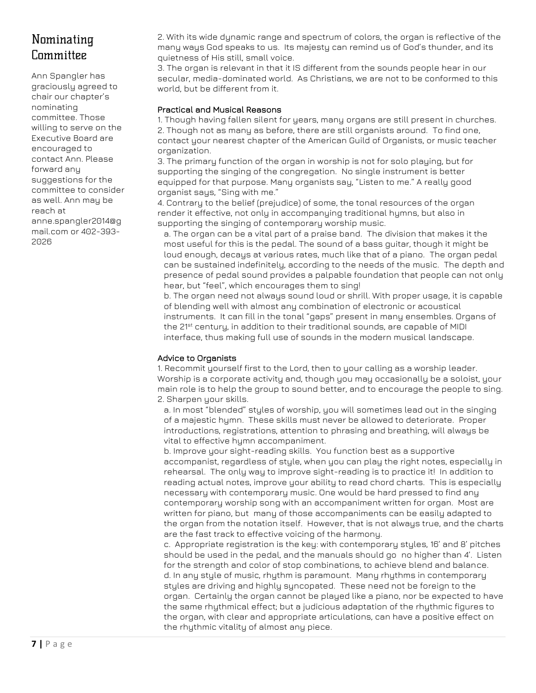## Nominating Committee

Ann Spangler has graciously agreed to chair our chapter's nominating committee. Those willing to serve on the Executive Board are encouraged to contact Ann. Please forward any suggestions for the committee to consider as well. Ann may be reach at anne.spangler2014@g mail.com or 402-393- 2026

2. With its wide dynamic range and spectrum of colors, the organ is reflective of the many ways God speaks to us. Its majesty can remind us of God's thunder, and its quietness of His still, small voice.

3. The organ is relevant in that it IS different from the sounds people hear in our secular, media-dominated world. As Christians, we are not to be conformed to this world, but be different from it.

#### Practical and Musical Reasons

1. Though having fallen silent for years, many organs are still present in churches. 2. Though not as many as before, there are still organists around. To find one, contact your nearest chapter of the American Guild of Organists, or music teacher organization.

3. The primary function of the organ in worship is not for solo playing, but for supporting the singing of the congregation. No single instrument is better equipped for that purpose. Many organists say, "Listen to me." A really good organist says, "Sing with me."

4. Contrary to the belief (prejudice) of some, the tonal resources of the organ render it effective, not only in accompanying traditional hymns, but also in supporting the singing of contemporary worship music.

a. The organ can be a vital part of a praise band. The division that makes it the most useful for this is the pedal. The sound of a bass guitar, though it might be loud enough, decays at various rates, much like that of a piano. The organ pedal can be sustained indefinitely, according to the needs of the music. The depth and presence of pedal sound provides a palpable foundation that people can not only hear, but "feel", which encourages them to sing!

b. The organ need not always sound loud or shrill. With proper usage, it is capable of blending well with almost any combination of electronic or acoustical instruments. It can fill in the tonal "gaps" present in many ensembles. Organs of the 21st century, in addition to their traditional sounds, are capable of MIDI interface, thus making full use of sounds in the modern musical landscape.

#### Advice to Organists

1. Recommit yourself first to the Lord, then to your calling as a worship leader. Worship is a corporate activity and, though you may occasionally be a soloist, your main role is to help the group to sound better, and to encourage the people to sing. 2. Sharpen your skills.

a. In most "blended" styles of worship, you will sometimes lead out in the singing of a majestic hymn. These skills must never be allowed to deteriorate. Proper introductions, registrations, attention to phrasing and breathing, will always be vital to effective hymn accompaniment.

b. Improve your sight-reading skills. You function best as a supportive accompanist, regardless of style, when you can play the right notes, especially in rehearsal. The only way to improve sight-reading is to practice it! In addition to reading actual notes, improve your ability to read chord charts. This is especially necessary with contemporary music. One would be hard pressed to find any contemporary worship song with an accompaniment written for organ. Most are written for piano, but many of those accompaniments can be easily adapted to the organ from the notation itself. However, that is not always true, and the charts are the fast track to effective voicing of the harmony.

c. Appropriate registration is the key: with contemporary styles, 16' and 8' pitches should be used in the pedal, and the manuals should go no higher than 4'. Listen for the strength and color of stop combinations, to achieve blend and balance. d. In any style of music, rhythm is paramount. Many rhythms in contemporary styles are driving and highly syncopated. These need not be foreign to the organ. Certainly the organ cannot be played like a piano, nor be expected to have the same rhythmical effect; but a judicious adaptation of the rhythmic figures to the organ, with clear and appropriate articulations, can have a positive effect on the rhythmic vitality of almost any piece.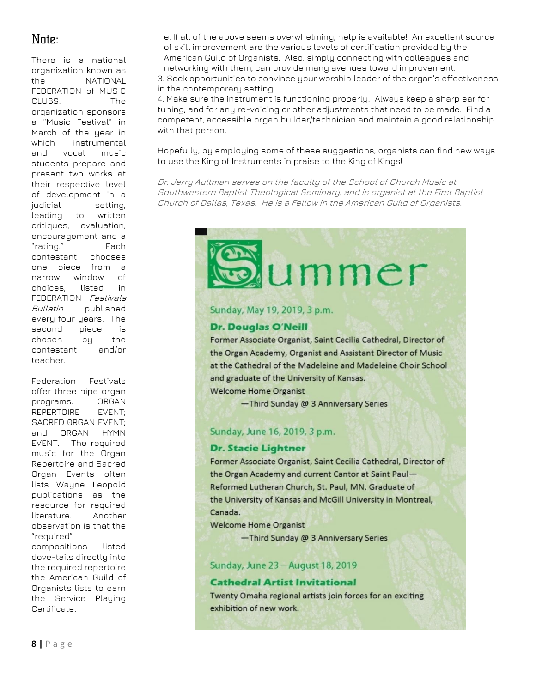## Note:

There is a national organization known as the NATIONAL FEDERATION of MUSIC CLUBS. The organization sponsors a "Music Festival" in March of the year in which instrumental and vocal music students prepare and present two works at their respective level of development in a judicial setting, leading to written critiques, evaluation, encouragement and a "rating." Each contestant chooses one piece from a narrow window of choices, listed in FEDERATION Festivals Bulletin published every four years. The second piece is chosen by the contestant and/or teacher.

Federation Festivals offer three pipe organ programs: ORGAN REPERTOIRE EVENT; SACRED 0RGAN EVENT; and ORGAN HYMN EVENT. The required music for the Organ Repertoire and Sacred Organ Events often lists Wayne Leopold publications as the resource for required literature. Another observation is that the "required" compositions listed dove-tails directly into the required repertoire the American Guild of Organists lists to earn the Service Playing

e. If all of the above seems overwhelming, help is available! An excellent source of skill improvement are the various levels of certification provided by the American Guild of Organists. Also, simply connecting with colleagues and networking with them, can provide many avenues toward improvement.

3. Seek opportunities to convince your worship leader of the organ's effectiveness in the contemporary setting.

4. Make sure the instrument is functioning properly. Always keep a sharp ear for tuning, and for any re-voicing or other adjustments that need to be made. Find a competent, accessible organ builder/technician and maintain a good relationship with that person.

Hopefully, by employing some of these suggestions, organists can find new ways to use the King of Instruments in praise to the King of Kings!

Dr. Jerry Aultman serves on the faculty of the School of Church Music at Southwestern Baptist Theological Seminary, and is organist at the First Baptist Church of Dallas, Texas. He is <sup>a</sup> Fellow in the American Guild of Organists.

## ummer

#### Sunday, May 19, 2019, 3 p.m.

#### **Dr. Douglas O'Neill**

Former Associate Organist, Saint Cecilia Cathedral, Director of the Organ Academy, Organist and Assistant Director of Music at the Cathedral of the Madeleine and Madeleine Choir School and graduate of the University of Kansas.

**Welcome Home Organist** 

-Third Sunday @ 3 Anniversary Series

#### Sunday, June 16, 2019, 3 p.m.

#### **Dr. Stacie Lightner**

Former Associate Organist, Saint Cecilia Cathedral, Director of the Organ Academy and current Cantor at Saint Paul-Reformed Lutheran Church, St. Paul, MN. Graduate of the University of Kansas and McGill University in Montreal, Canada.

**Welcome Home Organist** 

-Third Sunday @ 3 Anniversary Series

#### Sunday, June 23-August 18, 2019

#### **Cathedral Artist Invitational**

Twenty Omaha regional artists join forces for an exciting exhibition of new work.

Certificate.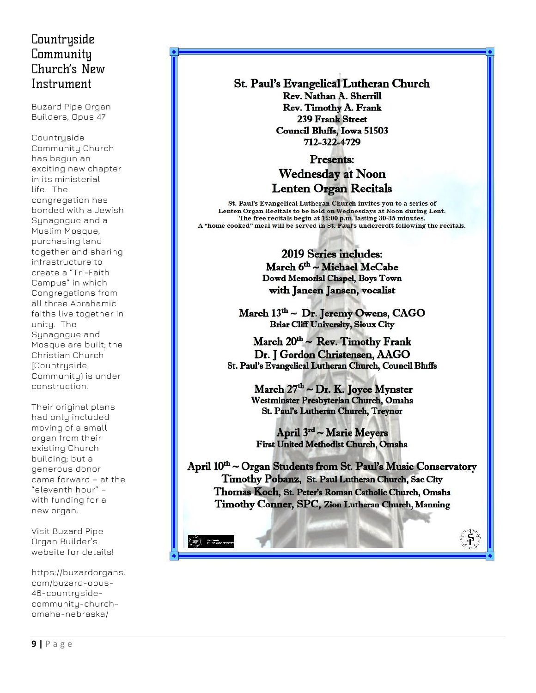## Countryside Community Church's New Instrument

Buzard Pipe Organ Builders, Opus 47

Countryside Community Church has begun an exciting new chapter in its ministerial life. The congregation has bonded with a Jewish Synagogue and a Muslim Mosque, purchasing land together and sharing infrastructure to create a "Tri-Faith Campus" in which Congregations from all three Abrahamic faiths live together in unity. The Synagogue and Mosque are built; the Christian Church (Countryside Community) is under construction.

Their original plans had only included moving of a small organ from their existing Church building; but a generous donor came forward – at the "eleventh hour" – with funding for a new organ.

Visit Buzard Pipe Organ Builder's website for details!

https://buzardorgans. com/buzard-opus-46-countrysidecommunity-churchomaha-nebraska/

St. Paul's Evangelical Lutheran Church Rev. Nathan A. Sherrill Rev. Timothy A. Frank 239 Frank Street **Council Bluffs, Iowa 51503** 712-322-4729

#### Presents: **Wednesday at Noon Lenten Organ Recitals**

St. Paul's Evangelical Lutheran Church invites you to a series of Lenten Organ Recitals to be held on Wednesdays at Noon during Lent. The free recitals begin at 12:00 p.m. lasting 30-35 minutes. A "home cooked" meal will be served in St. Paul's undercroft following the recitals.

> **2019 Series includes:** March 6th ~ Michael McCabe Dowd Memorial Chapel, Boys Town with Janeen Jansen, vocalist

March 13<sup>th</sup> ~ Dr. Jeremy Owens, CAGO **Briar Cliff University, Sioux City** 

March 20th ~ Rev. Timothy Frank Dr. J Gordon Christensen, AAGO St. Paul's Evangelical Lutheran Church, Council Bluffs

> March  $27<sup>th</sup> \sim Dr. K.$  Joyce Mynster Westminster Presbyterian Church, Omaha St. Paul's Lutheran Church, Treynor

April 3rd ~ Marie Meyers **First United Methodist Church, Omaha** 

April 10<sup>th</sup> ~ Organ Students from St. Paul's Music Conservatory Timothy Pobanz, St. Paul Lutheran Church, Sac City Thomas Koch, St. Peter's Roman Catholic Church, Omaha Timothy Conner, SPC, Zion Lutheran Church, Manning

 $\boxed{\text{SP}}$   $\left| \begin{array}{c} \text{mean} \\ \text{Fock-2mm} \end{array} \right.$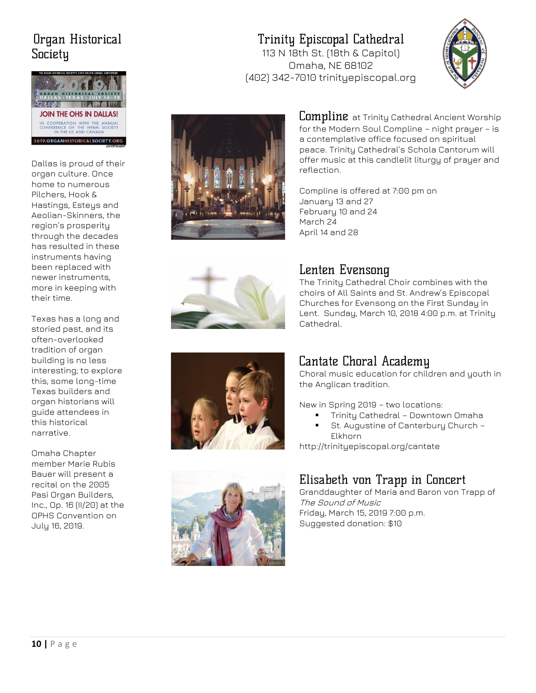## Organ Historical Society



Dallas is proud of their organ culture. Once home to numerous Pilchers, Hook & Hastings, Esteys and Aeolian-Skinners, the region's prosperity through the decades has resulted in these instruments having been replaced with newer instruments, more in keeping with their time.

Texas has a long and storied past, and its often-overlooked tradition of organ building is no less interesting; to explore this, some long-time Texas builders and organ historians will guide attendees in this historical narrative.

Omaha Chapter member Marie Rubis Bauer will present a recital on the 2005 Pasi Organ Builders, Inc., Op. 16 (II/20) at the OPHS Convention on July 16, 2019.

## Trinity Episcopal Cathedral

113 N 18th St. (18th & Capitol) Omaha, NE 68102 (402) 342-7010 trinityepiscopal.org





**Compline** at Trinity Cathedral Ancient Worship for the Modern Soul Compline – night prayer – is a contemplative office focused on spiritual peace. Trinity Cathedral's Schola Cantorum will offer music at this candlelit liturgy of prayer and reflection.

Compline is offered at 7:00 pm on January 13 and 27 February 10 and 24 March 24 April 14 and 28



## Lenten Evensong

The Trinity Cathedral Choir combines with the choirs of All Saints and St. Andrew's Episcopal Churches for Evensong on the First Sunday in Lent. Sunday, March 10, 2018 4:00 p.m. at Trinity Cathedral.



## Cantate Choral Academy

Choral music education for children and youth in the Anglican tradition.

New in Spring 2019 – two locations:

**·** Trinity Cathedral - Downtown Omaha St. Augustine of Canterbury Church -Elkhorn

http://trinityepiscopal.org/cantate

## Elisabeth von Trapp in Concert

Granddaughter of Maria and Baron von Trapp of The Sound of Music Friday, March 15, 2019 7:00 p.m. Suggested donation: \$10